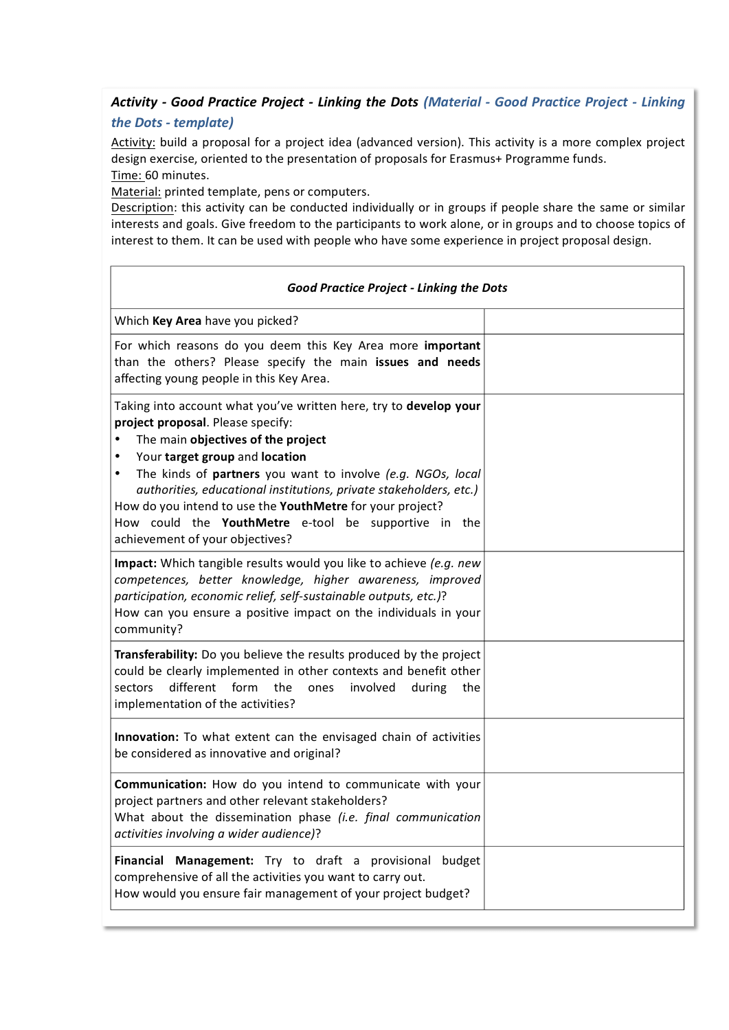## *Activity - Good Practice Project - Linking the Dots (Material - Good Practice Project - Linking the Dots - template)*

Activity: build a proposal for a project idea (advanced version). This activity is a more complex project design exercise, oriented to the presentation of proposals for Erasmus+ Programme funds. Time: 60 minutes.

Material: printed template, pens or computers.

 $\Gamma$ 

Description: this activity can be conducted individually or in groups if people share the same or similar interests and goals. Give freedom to the participants to work alone, or in groups and to choose topics of interest to them. It can be used with people who have some experience in project proposal design.

Ĭ.

| <b>Good Practice Project - Linking the Dots</b>                                                                                                                                                                                                                                                                                                                                                                                                                                       |  |  |
|---------------------------------------------------------------------------------------------------------------------------------------------------------------------------------------------------------------------------------------------------------------------------------------------------------------------------------------------------------------------------------------------------------------------------------------------------------------------------------------|--|--|
| Which Key Area have you picked?                                                                                                                                                                                                                                                                                                                                                                                                                                                       |  |  |
| For which reasons do you deem this Key Area more important<br>than the others? Please specify the main issues and needs<br>affecting young people in this Key Area.                                                                                                                                                                                                                                                                                                                   |  |  |
| Taking into account what you've written here, try to develop your<br>project proposal. Please specify:<br>The main objectives of the project<br>Your target group and location<br>٠<br>The kinds of partners you want to involve (e.g. NGOs, local<br>٠<br>authorities, educational institutions, private stakeholders, etc.)<br>How do you intend to use the YouthMetre for your project?<br>How could the YouthMetre e-tool be supportive in the<br>achievement of your objectives? |  |  |
| Impact: Which tangible results would you like to achieve (e.g. new<br>competences, better knowledge, higher awareness, improved<br>participation, economic relief, self-sustainable outputs, etc.)?<br>How can you ensure a positive impact on the individuals in your<br>community?                                                                                                                                                                                                  |  |  |
| Transferability: Do you believe the results produced by the project<br>could be clearly implemented in other contexts and benefit other<br>different<br>form<br>sectors<br>the<br>involved<br>during<br>the<br>ones<br>implementation of the activities?                                                                                                                                                                                                                              |  |  |
| Innovation: To what extent can the envisaged chain of activities<br>be considered as innovative and original?                                                                                                                                                                                                                                                                                                                                                                         |  |  |
| Communication: How do you intend to communicate with your<br>project partners and other relevant stakeholders?<br>What about the dissemination phase (i.e. final communication<br>activities involving a wider audience)?                                                                                                                                                                                                                                                             |  |  |
| Financial<br>Management: Try to draft a provisional<br>budget<br>comprehensive of all the activities you want to carry out.<br>How would you ensure fair management of your project budget?                                                                                                                                                                                                                                                                                           |  |  |